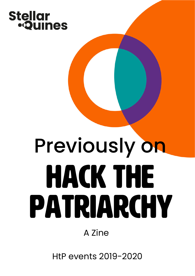# Stellar<br>•**Quines**

# Previously on Hack the patriarchy

A Zine

HtP events 2019-2020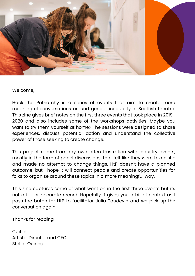

Welcome,

 Hack the Patriarchy is a series of events that aim to create more meaningful conversations around gender inequality in Scottish theatre. This zine gives brief notes on the first three events that took place in 2019- 2020 and also includes some of the workshops activities. Maybe you want to try them yourself at home? The sessions were designed to share experiences, discuss potential action and understand the collective power of those seeking to create change.

 This project came from my own often frustration with industry events, mostly in the form of panel discussions, that felt like they were tokenistic and made no attempt to change things. HtP doesn't have a planned outcome, but I hope it will connect people and create opportunities for folks to organise around these topics in a more meaningful way.

 This zine captures some of what went on in the first three events but its not a full or accurate record. Hopefully if gives you a bit of context as I pass the baton for HtP to facilitator Julia Taudevin and we pick up the conversation again.

Thanks for reading

 Artistic Director and CEO Caitlin Stellar Quines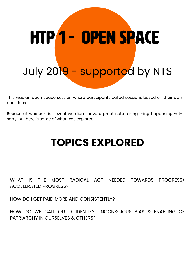# htp 1 - open space July 201<mark>9 - supporte</mark>d by NTS

 This was an open space session where participants called sessions based on their own questions.

 Because it was our first event we didn't have a great note taking thing happening yet-sorry. But here is some of what was explored.

#### **TOPICS EXPLORED**

#### WHAT IS THE MOST RADICAL ACT NEEDED TOWARDS PROGRESS/ ACCELERATED PROGRESS?

HOW DO I GET PAID MORE AND CONSISTENTLY?

 HOW DO WE CALL OUT / IDENTIFY UNCONSCIOUS BIAS & ENABLING OF PATRIARCHY IN OURSELVES & OTHERS?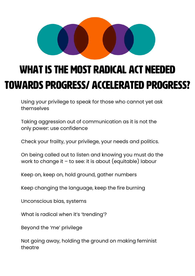

## WHAT IS THE MOST RADICAL ACT NEEDED TOWARDS PROGRESS/ ACCELERATED PROGRESS?

Using your privilege to speak for those who cannot yet ask themselves

Taking aggression out of communication as it is not the only power: use confidence

Check your frailty, your privilege, your needs and politics.

On being called out to listen and knowing you must do the work to change it – to see: it is about (equitable) labour

Keep on, keep on, hold ground, gather numbers

Keep changing the language, keep the fire burning

Unconscious bias, systems

What is radical when it's 'trending'?

Beyond the 'me' privilege

Not going away, holding the ground on making feminist theatre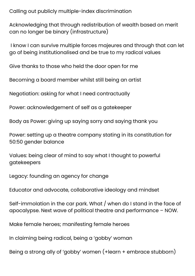Calling out publicly multiple-index discrimination

 Acknowledging that through redistribution of wealth based on merit can no longer be binary (infrastructure)

 I know I can survive multiple forces majeures and through that can let go of being institutionalised and be true to my radical values

Give thanks to those who held the door open for me

Becoming a board member whilst still being an artist

Negotiation: asking for what I need contractually

Power: acknowledgement of self as a gatekeeper

Body as Power: giving up saying sorry and saying thank you

 Power: setting up a theatre company stating in its constitution for 50:50 gender balance

 Values: being clear of mind to say what I thought to powerful gatekeepers

Legacy: founding an agency for change

Educator and advocate, collaborative ideology and mindset

 Self-immolation in the car park. What / when do I stand in the face of apocalypse. Next wave of political theatre and performance – NOW.

Make female heroes; manifesting female heroes

In claiming being radical, being a 'gobby' woman

Being a strong ally of 'gobby' women (+learn + embrace stubborn)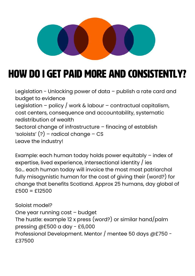

### HOW DO I GET PAID MORE AND CONSISTENTLY?

 Legislation - Unlocking power of data – publish a rate card and budget to evidence Legislation – policy / work & labour – contractual capitalism, cost centers, consequence and accountability, systematic redistribution of wealth Sectoral change of infrastructure – finacing of establish 'soloists' (?) – radical change – CS Leave the industry!

 Example: each human today holds power equitably – index of expertise, lived experience, intersectional identity / ies So… each human today will invoice the most most patriarchal fully misogynistic human for the cost of giving their (word?) for change that benefits Scotland. Approx 25 humans, day global of £500 = £12500

 One year running cost – budget The hustle: example 12 x press (word?) or similar hand/palm pressing @£500 a day - £6,000 Professional Development. Mentor / mentee 50 days @£750 - Soloist model? £37500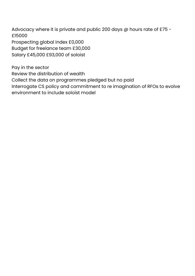Advocacy where it is private and public 200 days @ hours rate of £75 -£15000

 Prospecting global index £0,000 Budget for freelance team £30,000 Salary £45,000 £93,000 of soloist

 Pay in the sector Review the distribution of wealth Collect the data on programmes pledged but no paid Interrogate CS policy and commitment to re imagination of RFOs to evolve environment to include soloist model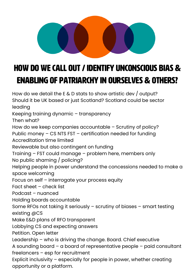

#### HOW DO WE CALL OUT / IDENTIFY UNCONSCIOUS BIAS & ENABLING OF PATRIARCHY IN OURSELVES & OTHERS?

 How do we detail the E & D stats to show artistic dev / output? Should it be UK based or just Scotland? Scotland could be sector Keeping training dynamic – transparency Then what? How do we keep companies accountable – Scrutiny of policy? Public money – CS NTS FST – certification needed for funding Accreditation time limited Reviewable but also contingent on funding Training – FST could manage – problem here, members only No public shaming / policing? Helping people in power understand the concessions needed to make a Focus on self – interrogate your process equity Fact sheet – check list Podcast – nuanced Holding boards accountable Some RFOs not taking it seriously – scrutiny of biases – smart testing existing @CS Make E&D plans of RFO transparent Lobbying CS and expecting answers Petition. Open letter Leadership – who is driving the change. Board. Chief executive A sounding board – a board of representative people – paid consultant freelancers – esp for recruitment Explicit inclusivity – especially for people in power, whether creating opportunity or a platform.leading space welcoming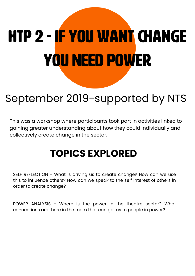# htp 2 - If you want change you need power

### September 2019-supported by NTS

 This was a workshop where participants took part in activities linked to gaining greater understanding about how they could individually and collectively create change in the sector.

#### **TOPICS EXPLORED**

 SELF REFLECTION - What is driving us to create change? How can we use this to influence others? How can we speak to the self interest of others in order to create change?

 POWER ANALYSIS - Where is the power in the theatre sector? What connections are there in the room that can get us to people in power?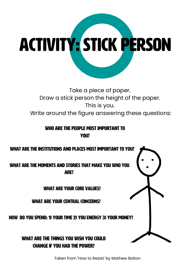

 Take a piece of paper. Draw a stick person the height of the paper. This is you. Write around the figure answering these questions:

> WHO ARE THE PEOPLE MOST IMPORTANT TO you?



Taken from 'How to Resist' by Mathew Bolton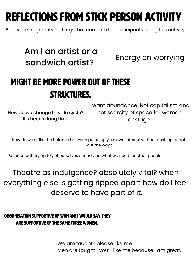# reflections from stick person activity

Below are fragments of things that came up for participants doing this activity.

#### Am I an artist or a Energy on worrying sandwich artist?

#### Might be more power out of these structures.

How do we change this life cycle?

 I want abundance. Not capitalism and It's been a long time. onstage. not scarcity of space for women

 How do we strike the balance between pursuing your own interest without pushing people out the way?

Balance with trying to get ourselves ahead and what we need for other people

 Theatre as indulgence? absolutely vital? when everything else is getting ripped apart how do I feel I deserve to have part of it.

#### Organisation supportive of woman? I would say they are supportive of the same three women.

 We are taught- please like me. Men are taught- you'll like me because I am great.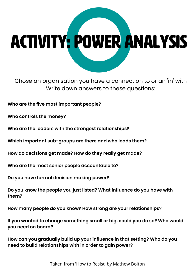# activity: power analysis

 Chose an organisation you have a connection to or an 'in' with Write down answers to these questions:

**Who are the five most important people?**

**Who controls the money?**

**Who are the leaders with the strongest relationships?**

**Which important sub-groups are there and who leads them?**

**How do decisions get made? How do they really get made?**

**Who are the most senior people accountable to?**

**Do you have formal decision making power?**

 **Do you know the people you just listed? What influence do you have with them?**

**How many people do you know? How strong are your relationships?**

 **If you wanted to change something small or big, could you do so? Who would you need on board?**

 **How can you gradually build up your influence in that setting? Who do you need to build relationships with in order to gain power?**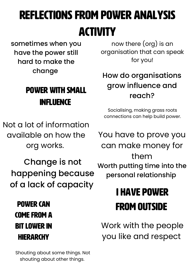# reflections from power Analysis activity

 sometimes when you have the power still hard to make the change

#### Power with small influence

 now there (org) is an organisation that can speak for you!

#### How do organisations grow influence and reach?

 Socialising, making grass roots connections can help build power.

 Not a lot of information available on how the org works.

 Change is not happening because of a lack of capacity

 Power can come from a bit lower in hiERARCHY

 Shouting about some things. Not shouting about other things.

 You have to prove you can make money for Worth putting time into the them personal relationship

# I have power from outside

 Work with the people you like and respect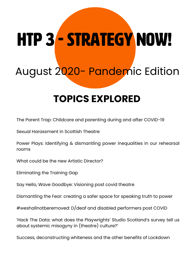# htp 3 - Strategy now!

# August 2020- Pandemic Edition

#### **TOPICS EXPLORED**

The Parent Trap: Childcare and parenting during and after COVID-19

Sexual Harassment in Scottish Theatre

 Power Plays: Identifying & dismantling power inequalities in our rehearsal rooms

What could be the new Artistic Director?

Eliminating the Training Gap

Say Hello, Wave Goodbye: Visioning post covid theatre

Dismantling the Fear: creating a safer space for speaking truth to power

#weshallnotberemoved: D/deaf and disabled performers post COVID

 'Hack The Data: what does the Playwrights' Studio Scotland's survey tell us about systemic misogyny in (theatre) culture?'

Success, deconstructing whiteness and the other benefits of Lockdown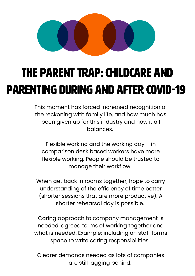

# The Parent Trap: Childcare and parenting during and after COVID-19

 This moment has forced increased recognition of the reckoning with family life, and how much has been given up for this industry and how it all balances.

 Flexible working and the working day – in comparison desk based workers have more flexible working. People should be trusted to manage their workflow.

 When get back in rooms together, hope to carry understanding of the efficiency of time better (shorter sessions that are more productive). A shorter rehearsal day is possible.

 Caring approach to company management is needed: agreed terms of working together and what is needed. Example: including on staff forms space to write caring responsibilities.

 Clearer demands needed as lots of companies are still lagging behind.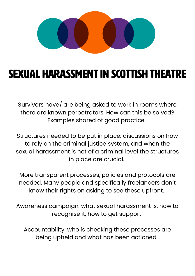

## Sexual Harassment in Scottish Theatre

 Survivors have/ are being asked to work in rooms where there are known perpetrators. How can this be solved? Examples shared of good practice.

 Structures needed to be put in place: discussions on how to rely on the criminal justice system, and when the sexual harassment is not of a criminal level the structures in place are crucial.

 More transparent processes, policies and protocols are needed. Many people and specifically freelancers don't know their rights on asking to see these upfront.

 Awareness campaign: what sexual harassment is, how to recognise it, how to get support

 Accountability: who is checking these processes are being upheld and what has been actioned.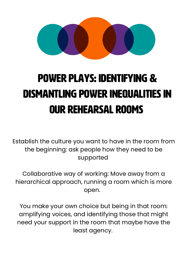

# Power Plays: Identifying & dismantling power inequalities in our rehearsal rooms

 Establish the culture you want to have in the room from the beginning: ask people how they need to be supported

 Collaborative way of working: Move away from a hierarchical approach, running a room which is more open.

 You make your own choice but being in that room: amplifying voices, and identifying those that might need your support in the room that maybe have the least agency.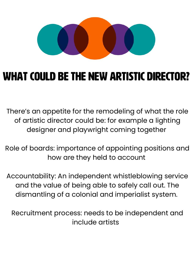

## What could be the new Artistic Director?

 There's an appetite for the remodeling of what the role of artistic director could be: for example a lighting designer and playwright coming together

 Role of boards: importance of appointing positions and how are they held to account

 Accountability: An independent whistleblowing service and the value of being able to safely call out. The dismantling of a colonial and imperialist system.

 Recruitment process: needs to be independent and include artists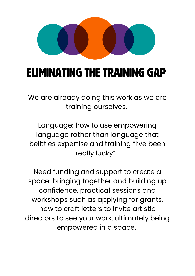

# Eliminating the Training Gap

 We are already doing this work as we are training ourselves.

 Language: how to use empowering language rather than language that belittles expertise and training "I've been really lucky"

 Need funding and support to create a space: bringing together and building up confidence, practical sessions and workshops such as applying for grants, how to craft letters to invite artistic directors to see your work, ultimately being empowered in a space.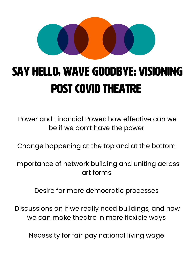

# Say Hello, Wave Goodbye: Visioning post covid theatre

 Power and Financial Power: how effective can we be if we don't have the power

Change happening at the top and at the bottom

 Importance of network building and uniting across art forms

Desire for more democratic processes

 Discussions on if we really need buildings, and how we can make theatre in more flexible ways

Necessity for fair pay national living wage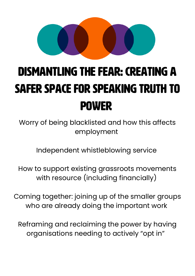

# Dismantling the Fear: creating a safer space for speaking truth to power

 Worry of being blacklisted and how this affects employment

Independent whistleblowing service

 How to support existing grassroots movements with resource (including financially)

 Coming together: joining up of the smaller groups who are already doing the important work

 Reframing and reclaiming the power by having organisations needing to actively "opt in"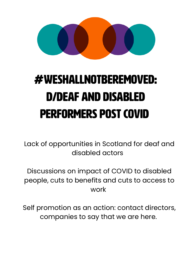

# D/deaf and disabled performers post COVID #weshallnotberemoved:

 Lack of opportunities in Scotland for deaf and disabled actors

 Discussions on impact of COVID to disabled people, cuts to benefits and cuts to access to work

 Self promotion as an action: contact directors, companies to say that we are here.